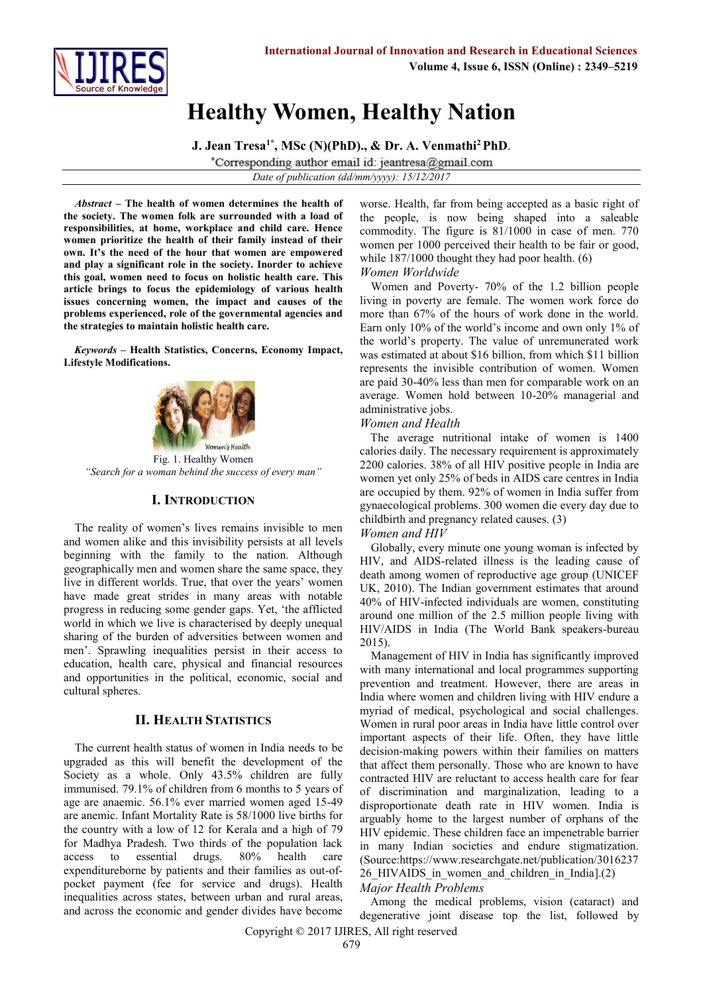

# **Healthy Women, Healthy Nation**

**J. Jean Tresa1\* , MSc (N)(PhD)., & Dr. A. Venmathi<sup>2</sup>PhD**. \*Corresponding author email id: jeantresa@gmail.com

*Date of publication (dd/mm/yyyy): 15/12/2017*

*Abstract* **– The health of women determines the health of the society. The women folk are surrounded with a load of responsibilities, at home, workplace and child care. Hence women prioritize the health of their family instead of their own. It's the need of the hour that women are empowered and play a significant role in the society. Inorder to achieve this goal, women need to focus on holistic health care. This article brings to focus the epidemiology of various health issues concerning women, the impact and causes of the problems experienced, role of the governmental agencies and the strategies to maintain holistic health care.**

*Keywords* **– Health Statistics, Concerns, Economy Impact, Lifestyle Modifications.**



Fig. 1. Healthy Women *"Search for a woman behind the success of every man"*

### **I. INTRODUCTION**

The reality of women's lives remains invisible to men and women alike and this invisibility persists at all levels beginning with the family to the nation. Although geographically men and women share the same space, they live in different worlds. True, that over the years' women have made great strides in many areas with notable progress in reducing some gender gaps. Yet, 'the afflicted world in which we live is characterised by deeply unequal sharing of the burden of adversities between women and men'. Sprawling inequalities persist in their access to education, health care, physical and financial resources and opportunities in the political, economic, social and cultural spheres.

## **II. HEALTH STATISTICS**

The current health status of women in India needs to be upgraded as this will benefit the development of the Society as a whole. Only 43.5% children are fully immunised. 79.1% of children from 6 months to 5 years of age are anaemic. 56.1% ever married women aged 15-49 are anemic. Infant Mortality Rate is 58/1000 live births for the country with a low of 12 for Kerala and a high of 79 for Madhya Pradesh. Two thirds of the population lack access to essential drugs. 80% health care expenditureborne by patients and their families as out-ofpocket payment (fee for service and drugs). Health inequalities across states, between urban and rural areas, and across the economic and gender divides have become

worse. Health, far from being accepted as a basic right of the people, is now being shaped into a saleable commodity. The figure is 81/1000 in case of men. 770 women per 1000 perceived their health to be fair or good, while 187/1000 thought they had poor health. (6) *Women Worldwide*

Women and Poverty- 70% of the 1.2 billion people living in poverty are female. The women work force do more than 67% of the hours of work done in the world. Earn only 10% of the world's income and own only 1% of the world's property. The value of unremunerated work was estimated at about \$16 billion, from which \$11 billion represents the invisible contribution of women. Women are paid 30-40% less than men for comparable work on an average. Women hold between 10-20% managerial and administrative jobs.

#### *Women and Health*

The average nutritional intake of women is 1400 calories daily. The necessary requirement is approximately 2200 calories. 38% of all HIV positive people in India are women yet only 25% of beds in AIDS care centres in India are occupied by them. 92% of women in India suffer from gynaecological problems. 300 women die every day due to childbirth and pregnancy related causes. (3)

#### *Women and HIV*

Globally, every minute one young woman is infected by HIV, and AIDS-related illness is the leading cause of death among women of reproductive age group (UNICEF UK, 2010). The Indian government estimates that around 40% of HIV-infected individuals are women, constituting around one million of the 2.5 million people living with HIV/AIDS in India (The World Bank speakers-bureau 2015).

Management of HIV in India has significantly improved with many international and local programmes supporting prevention and treatment. However, there are areas in India where women and children living with HIV endure a myriad of medical, psychological and social challenges. Women in rural poor areas in India have little control over important aspects of their life. Often, they have little decision-making powers within their families on matters that affect them personally. Those who are known to have contracted HIV are reluctant to access health care for fear of discrimination and marginalization, leading to a disproportionate death rate in HIV women. India is arguably home to the largest number of orphans of the HIV epidemic. These children face an impenetrable barrier in many Indian societies and endure stigmatization. (Source[:https://www.researchgate.net/publication/3016237](https://www.researchgate.net/publication/301623726_HIVAIDS_in_women_and_children_in_India) 26 HIVAIDS in women and children in India].(2) *Major Health Problems*

Among the medical problems, vision (cataract) and degenerative joint disease top the list, followed by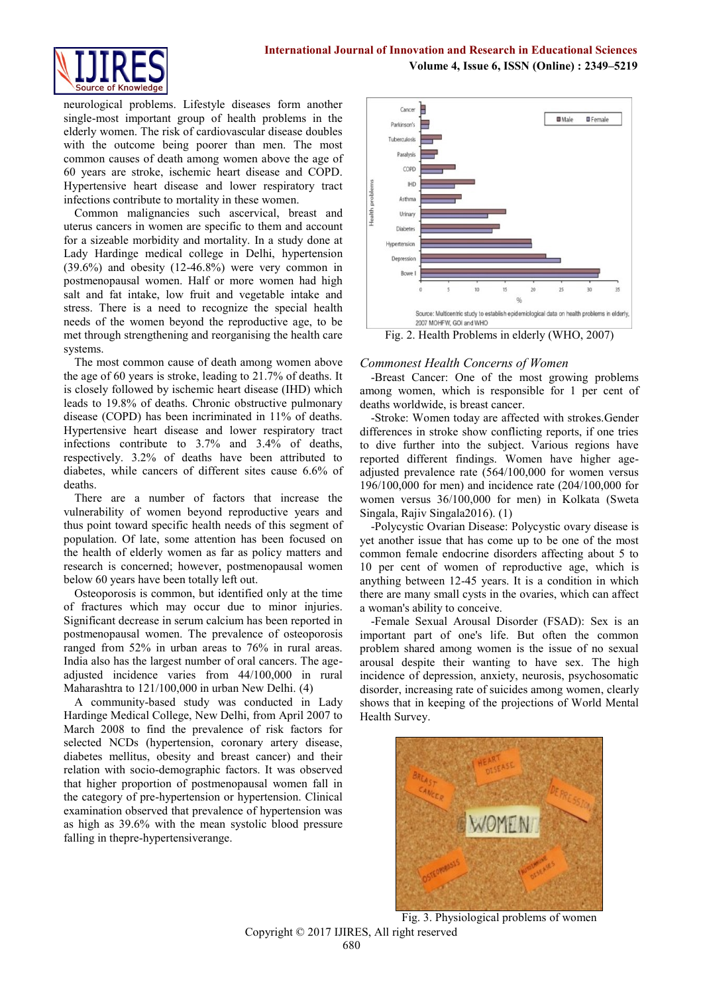#### **International Journal of Innovation and Research in Educational Sciences Volume 4, Issue 6, ISSN (Online) : 2349–5219**



neurological problems. Lifestyle diseases form another single-most important group of health problems in the elderly women. The risk of cardiovascular disease doubles with the outcome being poorer than men. The most common causes of death among women above the age of 60 years are stroke, ischemic heart disease and COPD. Hypertensive heart disease and lower respiratory tract infections contribute to mortality in these women.

Common malignancies such ascervical, breast and uterus cancers in women are specific to them and account for a sizeable morbidity and mortality. In a study done at Lady Hardinge medical college in Delhi, hypertension (39.6%) and obesity (12-46.8%) were very common in postmenopausal women. Half or more women had high salt and fat intake, low fruit and vegetable intake and stress. There is a need to recognize the special health needs of the women beyond the reproductive age, to be met through strengthening and reorganising the health care systems.

The most common cause of death among women above the age of 60 years is stroke, leading to 21.7% of deaths. It is closely followed by ischemic heart disease (IHD) which leads to 19.8% of deaths. Chronic obstructive pulmonary disease (COPD) has been incriminated in 11% of deaths. Hypertensive heart disease and lower respiratory tract infections contribute to 3.7% and 3.4% of deaths, respectively. 3.2% of deaths have been attributed to diabetes, while cancers of different sites cause 6.6% of deaths.

There are a number of factors that increase the vulnerability of women beyond reproductive years and thus point toward specific health needs of this segment of population. Of late, some attention has been focused on the health of elderly women as far as policy matters and research is concerned; however, postmenopausal women below 60 years have been totally left out.

Osteoporosis is common, but identified only at the time of fractures which may occur due to minor injuries. Significant decrease in serum calcium has been reported in postmenopausal women. The prevalence of osteoporosis ranged from 52% in urban areas to 76% in rural areas. India also has the largest number of oral cancers. The ageadjusted incidence varies from 44/100,000 in rural Maharashtra to 121/100,000 in urban New Delhi. (4)

A community-based study was conducted in Lady Hardinge Medical College, New Delhi, from April 2007 to March 2008 to find the prevalence of risk factors for selected NCDs (hypertension, coronary artery disease, diabetes mellitus, obesity and breast cancer) and their relation with socio-demographic factors. It was observed that higher proportion of postmenopausal women fall in the category of pre-hypertension or hypertension. Clinical examination observed that prevalence of hypertension was as high as 39.6% with the mean systolic blood pressure falling in thepre-hypertensiverange.



## *Commonest Health Concerns of Women*

-Breast Cancer: One of the most growing problems among women, which is responsible for 1 per cent of deaths worldwide, is breast cancer.

-Stroke: Women today are affected with strokes.Gender differences in stroke show conflicting reports, if one tries to dive further into the subject. Various regions have reported different findings. Women have higher ageadjusted prevalence rate (564/100,000 for women versus 196/100,000 for men) and incidence rate (204/100,000 for women versus 36/100,000 for men) in Kolkata (Sweta Singala, Rajiv Singala2016). (1)

-Polycystic Ovarian Disease: Polycystic ovary disease is yet another issue that has come up to be one of the most common female endocrine disorders affecting about 5 to 10 per cent of women of reproductive age, which is anything between 12-45 years. It is a condition in which there are many small cysts in the ovaries, which can affect a woman's ability to conceive.

-Female Sexual Arousal Disorder (FSAD): Sex is an important part of one's life. But often the common problem shared among women is the issue of no sexual arousal despite their wanting to have sex. The high incidence of depression, anxiety, neurosis, psychosomatic disorder, increasing rate of suicides among women, clearly shows that in keeping of the projections of World Mental Health Survey.



Copyright © 2017 IJIRES, All right reserved Fig. 3. Physiological problems of women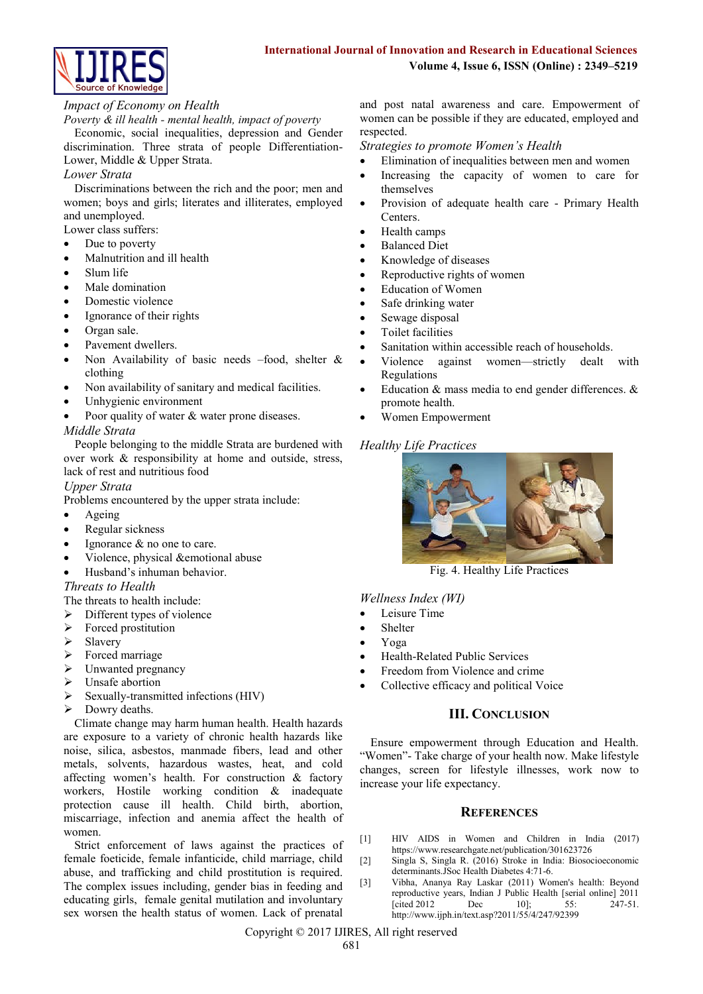

## *Impact of Economy on Health*

*Poverty & ill health - mental health, impact of poverty* 

Economic, social inequalities, depression and Gender discrimination. Three strata of people Differentiation-Lower, Middle & Upper Strata.

#### *Lower Strata*

Discriminations between the rich and the poor; men and women; boys and girls; literates and illiterates, employed and unemployed.

Lower class suffers:

- Due to poverty
- Malnutrition and ill health
- Slum life
- Male domination
- Domestic violence
- Ignorance of their rights
- Organ sale.
- Pavement dwellers.
- Non Availability of basic needs –food, shelter & clothing
- Non availability of sanitary and medical facilities.
- Unhygienic environment
- Poor quality of water & water prone diseases.

#### *Middle Strata*

People belonging to the middle Strata are burdened with over work & responsibility at home and outside, stress, lack of rest and nutritious food

#### *Upper Strata*

Problems encountered by the upper strata include:

- Ageing
- Regular sickness
- Ignorance & no one to care.
- Violence, physical &emotional abuse
- Husband's inhuman behavior.

## *Threats to Health*

The threats to health include:

- $\triangleright$  Different types of violence
- $\triangleright$  Forced prostitution
- $\triangleright$  Slavery
- $\triangleright$  Forced marriage
- $\triangleright$  Unwanted pregnancy
- > Unsafe abortion
- $\triangleright$  Sexually-transmitted infections (HIV)
- $\triangleright$  Dowry deaths.

Climate change may harm human health. Health hazards are exposure to a variety of chronic health hazards like noise, silica, asbestos, manmade fibers, lead and other metals, solvents, hazardous wastes, heat, and cold affecting women's health. For construction & factory workers, Hostile working condition & inadequate protection cause ill health. Child birth, abortion, miscarriage, infection and anemia affect the health of women.

Strict enforcement of laws against the practices of female foeticide, female infanticide, child marriage, child abuse, and trafficking and child prostitution is required. The complex issues including, gender bias in feeding and educating girls, female genital mutilation and involuntary sex worsen the health status of women. Lack of prenatal

and post natal awareness and care. Empowerment of women can be possible if they are educated, employed and respected.

*Strategies to promote Women's Health*

- Elimination of inequalities between men and women
- Increasing the capacity of women to care for themselves
- Provision of adequate health care Primary Health Centers.
- Health camps
- Balanced Diet
- Knowledge of diseases
- Reproductive rights of women
- Education of Women
- Safe drinking water
- Sewage disposal
- Toilet facilities
- Sanitation within accessible reach of households.
- Violence against women—strictly dealt with Regulations
- Education & mass media to end gender differences. & promote health.
- Women Empowerment

## *Healthy Life Practices*



Fig. 4. Healthy Life Practices

*Wellness Index (WI)*

- Leisure Time
- Shelter
- Yoga
- Health-Related Public Services
- Freedom from Violence and crime
- Collective efficacy and political Voice

## **III. CONCLUSION**

Ensure empowerment through Education and Health. "Women"- Take charge of your health now. Make lifestyle changes, screen for lifestyle illnesses, work now to increase your life expectancy.

#### **REFERENCES**

- [1] HIV AIDS in Women and Children in India (2017) https://www.researchgate.net/publication/301623726
- [2] Singla S, Singla R. (2016) Stroke in India: Biosocioeconomic determinants.JSoc Health Diabetes 4:71-6.
- [3] [Vibha,](http://www.ijph.in/searchresult.asp?search=&author=Vibha&journal=Y&but_search=Search&entries=10&pg=1&s=0) [Ananya Ray Laskar](http://www.ijph.in/searchresult.asp?search=&author=Ananya+Ray+Laskar&journal=Y&but_search=Search&entries=10&pg=1&s=0) (2011) Women's health: Beyond reproductive years, Indian J Public Health [serial online] 2011<br>
Feited 2012 Dec 10]: 55: 247-51. [cited 2012 Dec 10]; 55: <http://www.ijph.in/text.asp?2011/55/4/247/92399>